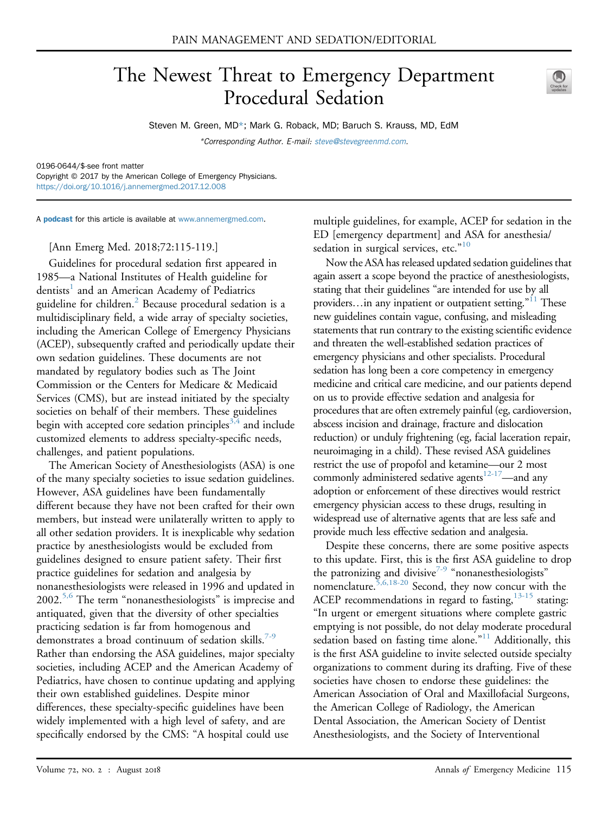# The Newest Threat to Emergency Department Procedural Sedation



Steven M. Green, MD\*; Mark G. Roback, MD; Baruch S. Krauss, MD, EdM \*Corresponding Author. E-mail: [steve@stevegreenmd.com.](mailto:steve@stevegreenmd.com)

0196-0644/\$-see front matter

Copyright © 2017 by the American College of Emergency Physicians. <https://doi.org/10.1016/j.annemergmed.2017.12.008>

A **[podcast](http://annemergmed.com/content/podcast)** for this article is available at [www.annemergmed.com.](http://www.annemergmed.com)

[Ann Emerg Med. 2018;72:115-119.]

Guidelines for procedural sedation first appeared in 1985—a National Institutes of Health guideline for dentists<sup>[1](#page-3-0)</sup> and an American Academy of Pediatrics guideline for children.<sup>[2](#page-3-1)</sup> Because procedural sedation is a multidisciplinary field, a wide array of specialty societies, including the American College of Emergency Physicians (ACEP), subsequently crafted and periodically update their own sedation guidelines. These documents are not mandated by regulatory bodies such as The Joint Commission or the Centers for Medicare & Medicaid Services (CMS), but are instead initiated by the specialty societies on behalf of their members. These guidelines begin with accepted core sedation principles<sup>[3,4](#page-3-2)</sup> and include customized elements to address specialty-specific needs, challenges, and patient populations.

The American Society of Anesthesiologists (ASA) is one of the many specialty societies to issue sedation guidelines. However, ASA guidelines have been fundamentally different because they have not been crafted for their own members, but instead were unilaterally written to apply to all other sedation providers. It is inexplicable why sedation practice by anesthesiologists would be excluded from guidelines designed to ensure patient safety. Their first practice guidelines for sedation and analgesia by nonanesthesiologists were released in 1996 and updated in  $2002.^{5,6}$  $2002.^{5,6}$  $2002.^{5,6}$  The term "nonanesthesiologists" is imprecise and antiquated, given that the diversity of other specialties practicing sedation is far from homogenous and demonstrates a broad continuum of sedation skills.<sup>[7-9](#page-3-4)</sup> Rather than endorsing the ASA guidelines, major specialty societies, including ACEP and the American Academy of Pediatrics, have chosen to continue updating and applying their own established guidelines. Despite minor differences, these specialty-specific guidelines have been widely implemented with a high level of safety, and are specifically endorsed by the CMS: "A hospital could use

multiple guidelines, for example, ACEP for sedation in the ED [emergency department] and ASA for anesthesia/ sedation in surgical services, etc."<sup>[10](#page-3-5)</sup>

Now the ASA has released updated sedation guidelines that again assert a scope beyond the practice of anesthesiologists, stating that their guidelines "are intended for use by all providers...in any inpatient or outpatient setting."<sup>[11](#page-3-6)</sup> These new guidelines contain vague, confusing, and misleading statements that run contrary to the existing scientific evidence and threaten the well-established sedation practices of emergency physicians and other specialists. Procedural sedation has long been a core competency in emergency medicine and critical care medicine, and our patients depend on us to provide effective sedation and analgesia for procedures that are often extremely painful (eg, cardioversion, abscess incision and drainage, fracture and dislocation reduction) or unduly frightening (eg, facial laceration repair, neuroimaging in a child). These revised ASA guidelines restrict the use of propofol and ketamine—our 2 most commonly administered sedative agents $12-17$ —and any adoption or enforcement of these directives would restrict emergency physician access to these drugs, resulting in widespread use of alternative agents that are less safe and provide much less effective sedation and analgesia.

Despite these concerns, there are some positive aspects to this update. First, this is the first ASA guideline to drop the patronizing and divisive<sup>[7-9](#page-3-4)</sup> "nonanesthesiologists" nomenclature.  $5,6,18-20$  Second, they now concur with the ACEP recommendations in regard to fasting,  $13-15$  stating: "In urgent or emergent situations where complete gastric emptying is not possible, do not delay moderate procedural sedation based on fasting time alone."<sup>[11](#page-3-6)</sup> Additionally, this is the first ASA guideline to invite selected outside specialty organizations to comment during its drafting. Five of these societies have chosen to endorse these guidelines: the American Association of Oral and Maxillofacial Surgeons, the American College of Radiology, the American Dental Association, the American Society of Dentist Anesthesiologists, and the Society of Interventional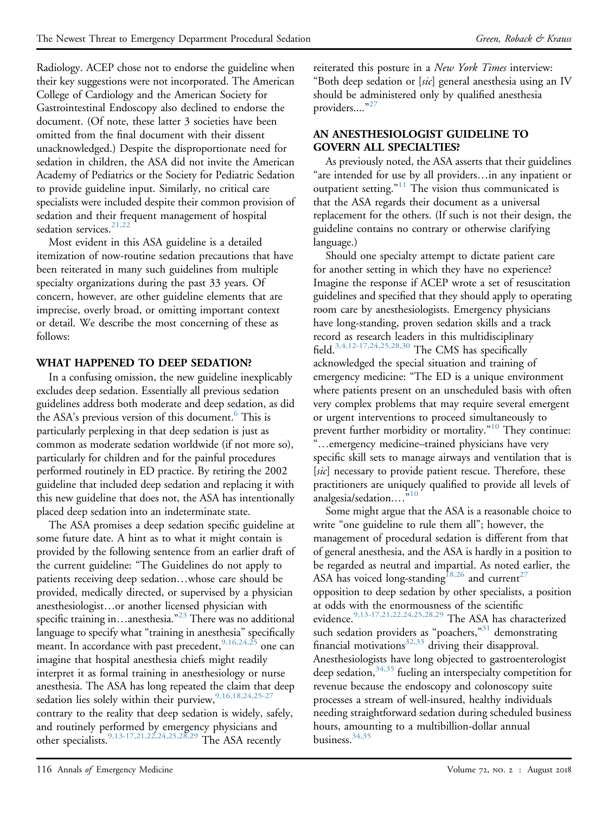Radiology. ACEP chose not to endorse the guideline when their key suggestions were not incorporated. The American College of Cardiology and the American Society for Gastrointestinal Endoscopy also declined to endorse the document. (Of note, these latter 3 societies have been omitted from the final document with their dissent unacknowledged.) Despite the disproportionate need for sedation in children, the ASA did not invite the American Academy of Pediatrics or the Society for Pediatric Sedation to provide guideline input. Similarly, no critical care specialists were included despite their common provision of sedation and their frequent management of hospital sedation services.<sup>[21,22](#page-3-9)</sup>

Most evident in this ASA guideline is a detailed itemization of now-routine sedation precautions that have been reiterated in many such guidelines from multiple specialty organizations during the past 33 years. Of concern, however, are other guideline elements that are imprecise, overly broad, or omitting important context or detail. We describe the most concerning of these as follows:

### WHAT HAPPENED TO DEEP SEDATION?

In a confusing omission, the new guideline inexplicably excludes deep sedation. Essentially all previous sedation guidelines address both moderate and deep sedation, as did the ASA's previous version of this document.<sup>6</sup> This is particularly perplexing in that deep sedation is just as common as moderate sedation worldwide (if not more so), particularly for children and for the painful procedures performed routinely in ED practice. By retiring the 2002 guideline that included deep sedation and replacing it with this new guideline that does not, the ASA has intentionally placed deep sedation into an indeterminate state.

The ASA promises a deep sedation specific guideline at some future date. A hint as to what it might contain is provided by the following sentence from an earlier draft of the current guideline: "The Guidelines do not apply to patients receiving deep sedation...whose care should be provided, medically directed, or supervised by a physician anesthesiologist...or another licensed physician with specific training in...anesthesia."<sup>[23](#page-3-11)</sup> There was no additional language to specify what "training in anesthesia" specifically meant. In accordance with past precedent, <sup>[9,16,24,25](#page-3-12)</sup> one can imagine that hospital anesthesia chiefs might readily interpret it as formal training in anesthesiology or nurse anesthesia. The ASA has long repeated the claim that deep sedation lies solely within their purview,  $9,16,18,24,25-27$ contrary to the reality that deep sedation is widely, safely, and routinely performed by emergency physicians and other specialists.[9,13-17,21,22,24,25,28,29](#page-3-12) The ASA recently

reiterated this posture in a New York Times interview: "Both deep sedation or [sic] general anesthesia using an IV should be administered only by qualified anesthesia providers...."<sup>[27](#page-3-13)</sup>

### AN ANESTHESIOLOGIST GUIDELINE TO GOVERN ALL SPECIALTIES?

As previously noted, the ASA asserts that their guidelines "are intended for use by all providers...in any inpatient or outpatient setting."<sup>[11](#page-3-6)</sup> The vision thus communicated is that the ASA regards their document as a universal replacement for the others. (If such is not their design, the guideline contains no contrary or otherwise clarifying language.)

Should one specialty attempt to dictate patient care for another setting in which they have no experience? Imagine the response if ACEP wrote a set of resuscitation guidelines and specified that they should apply to operating room care by anesthesiologists. Emergency physicians have long-standing, proven sedation skills and a track record as research leaders in this multidisciplinary field.<sup>[3,4,12-17,24,25,28,30](#page-3-2)</sup> The CMS has specifically acknowledged the special situation and training of emergency medicine: "The ED is a unique environment where patients present on an unscheduled basis with often very complex problems that may require several emergent or urgent interventions to proceed simultaneously to prevent further morbidity or mortality."<sup>[10](#page-3-5)</sup> They continue: "...emergency medicine–trained physicians have very specific skill sets to manage airways and ventilation that is [sic] necessary to provide patient rescue. Therefore, these practitioners are uniquely qualified to provide all levels of analgesia/sedation...."<sup>[10](#page-3-5)</sup>

Some might argue that the ASA is a reasonable choice to write "one guideline to rule them all"; however, the management of procedural sedation is different from that of general anesthesia, and the ASA is hardly in a position to be regarded as neutral and impartial. As noted earlier, the ASA has voiced long-standing<sup>[18,26](#page-3-14)</sup> and current<sup>[27](#page-3-13)</sup> opposition to deep sedation by other specialists, a position at odds with the enormousness of the scientific evidence.<sup>9,13-17,21,22,24,25,28,29</sup> The ASA has characterized such sedation providers as "poachers,"<sup>[31](#page-4-0)</sup> demonstrating financial motivations<sup>[32,33](#page-4-1)</sup> driving their disapproval. Anesthesiologists have long objected to gastroenterologist deep sedation,<sup>[34,35](#page-4-2)</sup> fueling an interspecialty competition for revenue because the endoscopy and colonoscopy suite processes a stream of well-insured, healthy individuals needing straightforward sedation during scheduled business hours, amounting to a multibillion-dollar annual business.  $34,35$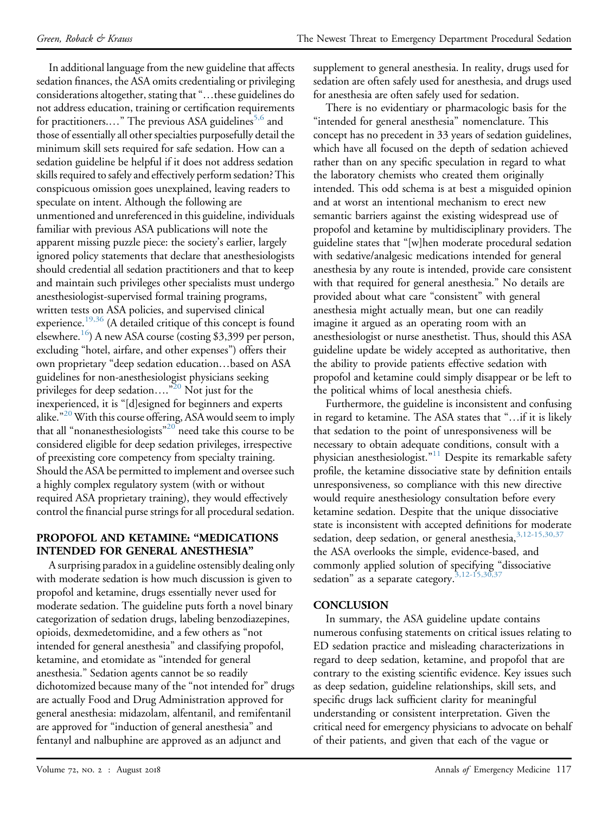In additional language from the new guideline that affects sedation finances, the ASA omits credentialing or privileging considerations altogether, stating that "...these guidelines do not address education, training or certification requirements for practitioners...." The previous ASA guidelines<sup>[5,6](#page-3-3)</sup> and those of essentially all other specialties purposefully detail the minimum skill sets required for safe sedation. How can a sedation guideline be helpful if it does not address sedation skills required to safely and effectively perform sedation? This conspicuous omission goes unexplained, leaving readers to speculate on intent. Although the following are unmentioned and unreferenced in this guideline, individuals familiar with previous ASA publications will note the apparent missing puzzle piece: the society's earlier, largely ignored policy statements that declare that anesthesiologists should credential all sedation practitioners and that to keep and maintain such privileges other specialists must undergo anesthesiologist-supervised formal training programs, written tests on ASA policies, and supervised clinical experience.<sup>19,36</sup> (A detailed critique of this concept is found elsewhere.[16\)](#page-3-16) A new ASA course (costing \$3,399 per person, excluding "hotel, airfare, and other expenses") offers their own proprietary "deep sedation education...based on ASA guidelines for non-anesthesiologist physicians seeking privileges for deep sedation...."<sup>[20](#page-3-17)</sup> Not just for the inexperienced, it is "[d]esigned for beginners and experts alike." [20](#page-3-17) With this course offering, ASA would seem to imply that all "nonanesthesiologists"<sup>[20](#page-3-17)"</sup> need take this course to be considered eligible for deep sedation privileges, irrespective of preexisting core competency from specialty training. Should the ASA be permitted to implement and oversee such a highly complex regulatory system (with or without required ASA proprietary training), they would effectively control the financial purse strings for all procedural sedation.

## PROPOFOL AND KETAMINE: "MEDICATIONS INTENDED FOR GENERAL ANESTHESIA"

A surprising paradox in a guideline ostensibly dealing only with moderate sedation is how much discussion is given to propofol and ketamine, drugs essentially never used for moderate sedation. The guideline puts forth a novel binary categorization of sedation drugs, labeling benzodiazepines, opioids, dexmedetomidine, and a few others as "not intended for general anesthesia" and classifying propofol, ketamine, and etomidate as "intended for general anesthesia." Sedation agents cannot be so readily dichotomized because many of the "not intended for" drugs are actually Food and Drug Administration approved for general anesthesia: midazolam, alfentanil, and remifentanil are approved for "induction of general anesthesia" and fentanyl and nalbuphine are approved as an adjunct and

supplement to general anesthesia. In reality, drugs used for sedation are often safely used for anesthesia, and drugs used for anesthesia are often safely used for sedation.

There is no evidentiary or pharmacologic basis for the "intended for general anesthesia" nomenclature. This concept has no precedent in 33 years of sedation guidelines, which have all focused on the depth of sedation achieved rather than on any specific speculation in regard to what the laboratory chemists who created them originally intended. This odd schema is at best a misguided opinion and at worst an intentional mechanism to erect new semantic barriers against the existing widespread use of propofol and ketamine by multidisciplinary providers. The guideline states that "[w]hen moderate procedural sedation with sedative/analgesic medications intended for general anesthesia by any route is intended, provide care consistent with that required for general anesthesia." No details are provided about what care "consistent" with general anesthesia might actually mean, but one can readily imagine it argued as an operating room with an anesthesiologist or nurse anesthetist. Thus, should this ASA guideline update be widely accepted as authoritative, then the ability to provide patients effective sedation with propofol and ketamine could simply disappear or be left to the political whims of local anesthesia chiefs.

Furthermore, the guideline is inconsistent and confusing in regard to ketamine. The ASA states that "...if it is likely that sedation to the point of unresponsiveness will be necessary to obtain adequate conditions, consult with a physician anesthesiologist." [11](#page-3-6) Despite its remarkable safety profile, the ketamine dissociative state by definition entails unresponsiveness, so compliance with this new directive would require anesthesiology consultation before every ketamine sedation. Despite that the unique dissociative state is inconsistent with accepted definitions for moderate sedation, deep sedation, or general anesthesia, [3,12-15,30,37](#page-3-2) the ASA overlooks the simple, evidence-based, and commonly applied solution of specifying "dissociative sedation" as a separate category. $3,12-15,30,37$ 

## **CONCLUSION**

In summary, the ASA guideline update contains numerous confusing statements on critical issues relating to ED sedation practice and misleading characterizations in regard to deep sedation, ketamine, and propofol that are contrary to the existing scientific evidence. Key issues such as deep sedation, guideline relationships, skill sets, and specific drugs lack sufficient clarity for meaningful understanding or consistent interpretation. Given the critical need for emergency physicians to advocate on behalf of their patients, and given that each of the vague or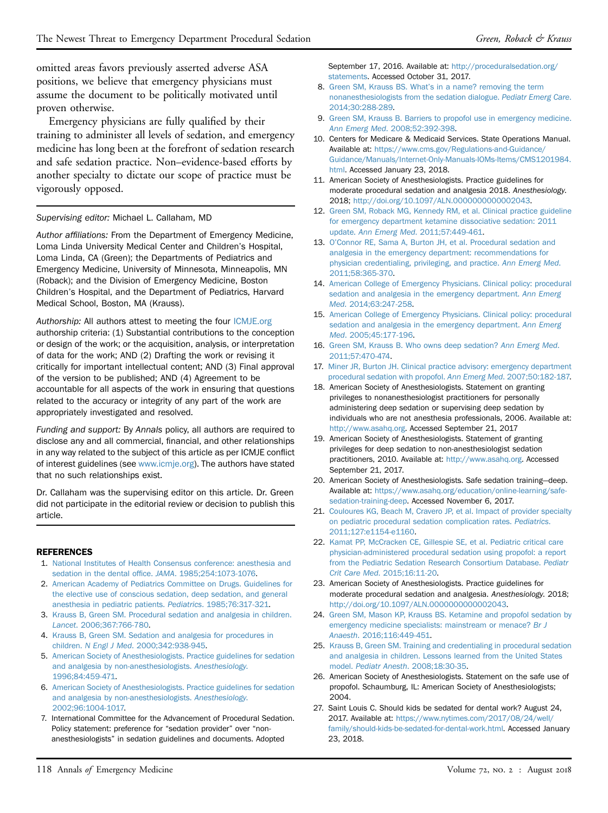omitted areas favors previously asserted adverse ASA positions, we believe that emergency physicians must assume the document to be politically motivated until proven otherwise.

Emergency physicians are fully qualified by their training to administer all levels of sedation, and emergency medicine has long been at the forefront of sedation research and safe sedation practice. Non–evidence-based efforts by another specialty to dictate our scope of practice must be vigorously opposed.

#### Supervising editor: Michael L. Callaham, MD

Author affiliations: From the Department of Emergency Medicine, Loma Linda University Medical Center and Children's Hospital, Loma Linda, CA (Green); the Departments of Pediatrics and Emergency Medicine, University of Minnesota, Minneapolis, MN (Roback); and the Division of Emergency Medicine, Boston Children's Hospital, and the Department of Pediatrics, Harvard Medical School, Boston, MA (Krauss).

Authorship: All authors attest to meeting the four [ICMJE.org](http://ICMJE.org) authorship criteria: (1) Substantial contributions to the conception or design of the work; or the acquisition, analysis, or interpretation of data for the work; AND (2) Drafting the work or revising it critically for important intellectual content; AND (3) Final approval of the version to be published; AND (4) Agreement to be accountable for all aspects of the work in ensuring that questions related to the accuracy or integrity of any part of the work are appropriately investigated and resolved.

Funding and support: By Annals policy, all authors are required to disclose any and all commercial, financial, and other relationships in any way related to the subject of this article as per ICMJE conflict of interest guidelines (see [www.icmje.org\)](http://www.icmje.org/). The authors have stated that no such relationships exist.

Dr. Callaham was the supervising editor on this article. Dr. Green did not participate in the editorial review or decision to publish this article.

#### <span id="page-3-0"></span>REFERENCES

- 1. [National Institutes of Health Consensus conference: anesthesia and](http://refhub.elsevier.com/S0196-0644(17)31970-4/sref1) [sedation in the dental of](http://refhub.elsevier.com/S0196-0644(17)31970-4/sref1)fice. JAMA. 1985;254:1073-1076.
- <span id="page-3-1"></span>2. [American Academy of Pediatrics Committee on Drugs. Guidelines for](http://refhub.elsevier.com/S0196-0644(17)31970-4/sref2) [the elective use of conscious sedation, deep sedation, and general](http://refhub.elsevier.com/S0196-0644(17)31970-4/sref2) [anesthesia in pediatric patients.](http://refhub.elsevier.com/S0196-0644(17)31970-4/sref2) Pediatrics. 1985;76:317-321.
- <span id="page-3-2"></span>3. [Krauss B, Green SM. Procedural sedation and analgesia in children.](http://refhub.elsevier.com/S0196-0644(17)31970-4/sref3) Lancet[. 2006;367:766-780.](http://refhub.elsevier.com/S0196-0644(17)31970-4/sref3)
- <span id="page-3-3"></span>4. [Krauss B, Green SM. Sedation and analgesia for procedures in](http://refhub.elsevier.com/S0196-0644(17)31970-4/sref4) children. N Engl J Med[. 2000;342:938-945.](http://refhub.elsevier.com/S0196-0644(17)31970-4/sref4)
- 5. [American Society of Anesthesiologists. Practice guidelines for sedation](http://refhub.elsevier.com/S0196-0644(17)31970-4/sref5) [and analgesia by non-anesthesiologists.](http://refhub.elsevier.com/S0196-0644(17)31970-4/sref5) Anesthesiology. [1996;84:459-471.](http://refhub.elsevier.com/S0196-0644(17)31970-4/sref5)
- <span id="page-3-10"></span>6. [American Society of Anesthesiologists. Practice guidelines for sedation](http://refhub.elsevier.com/S0196-0644(17)31970-4/sref6) [and analgesia by non-anesthesiologists.](http://refhub.elsevier.com/S0196-0644(17)31970-4/sref6) Anesthesiology. [2002;96:1004-1017.](http://refhub.elsevier.com/S0196-0644(17)31970-4/sref6)
- <span id="page-3-4"></span>7. International Committee for the Advancement of Procedural Sedation. Policy statement: preference for "sedation provider" over "nonanesthesiologists" in sedation guidelines and documents. Adopted

September 17, 2016. Available at: [http://proceduralsedation.org/](http://proceduralsedation.org/statements) [statements.](http://proceduralsedation.org/statements) Accessed October 31, 2017.

- 8. Green SM, Krauss BS. What'[s in a name? removing the term](http://refhub.elsevier.com/S0196-0644(17)31970-4/sref8) [nonanesthesiologists from the sedation dialogue.](http://refhub.elsevier.com/S0196-0644(17)31970-4/sref8) Pediatr Emerg Care. [2014;30:288-289](http://refhub.elsevier.com/S0196-0644(17)31970-4/sref8).
- <span id="page-3-12"></span>9. [Green SM, Krauss B. Barriers to propofol use in emergency medicine.](http://refhub.elsevier.com/S0196-0644(17)31970-4/sref9) Ann Emerg Med[. 2008;52:392-398.](http://refhub.elsevier.com/S0196-0644(17)31970-4/sref9)
- <span id="page-3-5"></span>10. Centers for Medicare & Medicaid Services. State Operations Manual. Available at: [https://www.cms.gov/Regulations-and-Guidance/](https://www.cms.gov/Regulations-and-Guidance/Guidance/Manuals/Internet-Only-Manuals-IOMs-Items/CMS1201984.html) [Guidance/Manuals/Internet-Only-Manuals-IOMs-Items/CMS1201984.](https://www.cms.gov/Regulations-and-Guidance/Guidance/Manuals/Internet-Only-Manuals-IOMs-Items/CMS1201984.html) [html.](https://www.cms.gov/Regulations-and-Guidance/Guidance/Manuals/Internet-Only-Manuals-IOMs-Items/CMS1201984.html) Accessed January 23, 2018.
- <span id="page-3-6"></span>11. American Society of Anesthesiologists. Practice guidelines for moderate procedural sedation and analgesia 2018. Anesthesiology. 2018; <http://doi.org/10.1097/ALN.0000000000002043>.
- <span id="page-3-7"></span>12. [Green SM, Roback MG, Kennedy RM, et al. Clinical practice guideline](http://refhub.elsevier.com/S0196-0644(17)31970-4/sref12) [for emergency department ketamine dissociative sedation: 2011](http://refhub.elsevier.com/S0196-0644(17)31970-4/sref12) update. Ann Emerg Med[. 2011;57:449-461](http://refhub.elsevier.com/S0196-0644(17)31970-4/sref12).
- <span id="page-3-8"></span>13. O'[Connor RE, Sama A, Burton JH, et al. Procedural sedation and](http://refhub.elsevier.com/S0196-0644(17)31970-4/sref13) [analgesia in the emergency department: recommendations for](http://refhub.elsevier.com/S0196-0644(17)31970-4/sref13) [physician credentialing, privileging, and practice.](http://refhub.elsevier.com/S0196-0644(17)31970-4/sref13) Ann Emerg Med. [2011;58:365-370](http://refhub.elsevier.com/S0196-0644(17)31970-4/sref13).
- 14. [American College of Emergency Physicians. Clinical policy: procedural](http://refhub.elsevier.com/S0196-0644(17)31970-4/sref14) [sedation and analgesia in the emergency department.](http://refhub.elsevier.com/S0196-0644(17)31970-4/sref14) Ann Emerg Med[. 2014;63:247-258.](http://refhub.elsevier.com/S0196-0644(17)31970-4/sref14)
- 15. [American College of Emergency Physicians. Clinical policy: procedural](http://refhub.elsevier.com/S0196-0644(17)31970-4/sref15) [sedation and analgesia in the emergency department.](http://refhub.elsevier.com/S0196-0644(17)31970-4/sref15) Ann Emerg Med[. 2005;45:177-196](http://refhub.elsevier.com/S0196-0644(17)31970-4/sref15).
- <span id="page-3-16"></span>16. [Green SM, Krauss B. Who owns deep sedation?](http://refhub.elsevier.com/S0196-0644(17)31970-4/sref16) Ann Emerg Med. [2011;57:470-474](http://refhub.elsevier.com/S0196-0644(17)31970-4/sref16).
- 17. [Miner JR, Burton JH. Clinical practice advisory: emergency department](http://refhub.elsevier.com/S0196-0644(17)31970-4/sref17) [procedural sedation with propofol.](http://refhub.elsevier.com/S0196-0644(17)31970-4/sref17) Ann Emerg Med. 2007;50:182-187.
- <span id="page-3-14"></span>18. American Society of Anesthesiologists. Statement on granting privileges to nonanesthesiologist practitioners for personally administering deep sedation or supervising deep sedation by individuals who are not anesthesia professionals, 2006. Available at: [http://www.asahq.org.](http://www.asahq.org) Accessed September 21, 2017
- <span id="page-3-15"></span>19. American Society of Anesthesiologists. Statement of granting privileges for deep sedation to non-anesthesiologist sedation practitioners, 2010. Available at: <http://www.asahq.org>. Accessed September 21, 2017.
- <span id="page-3-17"></span>20. American Society of Anesthesiologists. Safe sedation training—deep. Available at: [https://www.asahq.org/education/online-learning/safe](https://www.asahq.org/education/online-learning/safe-sedation-training-deep)[sedation-training-deep.](https://www.asahq.org/education/online-learning/safe-sedation-training-deep) Accessed November 6, 2017.
- <span id="page-3-9"></span>21. [Couloures KG, Beach M, Cravero JP, et al. Impact of provider specialty](http://refhub.elsevier.com/S0196-0644(17)31970-4/sref21) [on pediatric procedural sedation complication rates.](http://refhub.elsevier.com/S0196-0644(17)31970-4/sref21) Pediatrics. [2011;127:e1154-e1160.](http://refhub.elsevier.com/S0196-0644(17)31970-4/sref21)
- 22. [Kamat PP, McCracken CE, Gillespie SE, et al. Pediatric critical care](http://refhub.elsevier.com/S0196-0644(17)31970-4/sref22) [physician-administered procedural sedation using propofol: a report](http://refhub.elsevier.com/S0196-0644(17)31970-4/sref22) [from the Pediatric Sedation Research Consortium Database.](http://refhub.elsevier.com/S0196-0644(17)31970-4/sref22) Pediatr Crit Care Med[. 2015;16:11-20](http://refhub.elsevier.com/S0196-0644(17)31970-4/sref22).
- <span id="page-3-11"></span>23. American Society of Anesthesiologists. Practice guidelines for moderate procedural sedation and analgesia. Anesthesiology. 2018; <http://doi.org/10.1097/ALN.0000000000002043>.
- 24. [Green SM, Mason KP, Krauss BS. Ketamine and propofol sedation by](http://refhub.elsevier.com/S0196-0644(17)31970-4/sref24) [emergency medicine specialists: mainstream or menace?](http://refhub.elsevier.com/S0196-0644(17)31970-4/sref24) Br J Anaesth[. 2016;116:449-451.](http://refhub.elsevier.com/S0196-0644(17)31970-4/sref24)
- 25. [Krauss B, Green SM. Training and credentialing in procedural sedation](http://refhub.elsevier.com/S0196-0644(17)31970-4/sref25) [and analgesia in children. Lessons learned from the United States](http://refhub.elsevier.com/S0196-0644(17)31970-4/sref25) model. Pediatr Anesth[. 2008;18:30-35.](http://refhub.elsevier.com/S0196-0644(17)31970-4/sref25)
- 26. American Society of Anesthesiologists. Statement on the safe use of propofol. Schaumburg, IL: American Society of Anesthesiologists; 2004.
- <span id="page-3-13"></span>27. Saint Louis C. Should kids be sedated for dental work? August 24, 2017. Available at: [https://www.nytimes.com/2017/08/24/well/](https://www.nytimes.com/2017/08/24/well/family/should-kids-be-sedated-for-dental-work.html) [family/should-kids-be-sedated-for-dental-work.html](https://www.nytimes.com/2017/08/24/well/family/should-kids-be-sedated-for-dental-work.html). Accessed January 23, 2018.